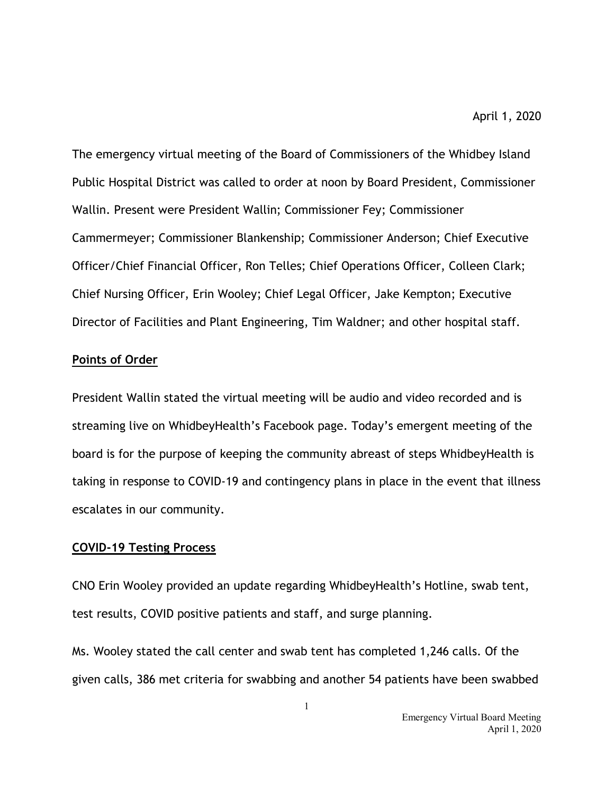The emergency virtual meeting of the Board of Commissioners of the Whidbey Island Public Hospital District was called to order at noon by Board President, Commissioner Wallin. Present were President Wallin; Commissioner Fey; Commissioner Cammermeyer; Commissioner Blankenship; Commissioner Anderson; Chief Executive Officer/Chief Financial Officer, Ron Telles; Chief Operations Officer, Colleen Clark; Chief Nursing Officer, Erin Wooley; Chief Legal Officer, Jake Kempton; Executive Director of Facilities and Plant Engineering, Tim Waldner; and other hospital staff.

## **Points of Order**

President Wallin stated the virtual meeting will be audio and video recorded and is streaming live on WhidbeyHealth's Facebook page. Today's emergent meeting of the board is for the purpose of keeping the community abreast of steps WhidbeyHealth is taking in response to COVID-19 and contingency plans in place in the event that illness escalates in our community.

# **COVID-19 Testing Process**

CNO Erin Wooley provided an update regarding WhidbeyHealth's Hotline, swab tent, test results, COVID positive patients and staff, and surge planning.

Ms. Wooley stated the call center and swab tent has completed 1,246 calls. Of the given calls, 386 met criteria for swabbing and another 54 patients have been swabbed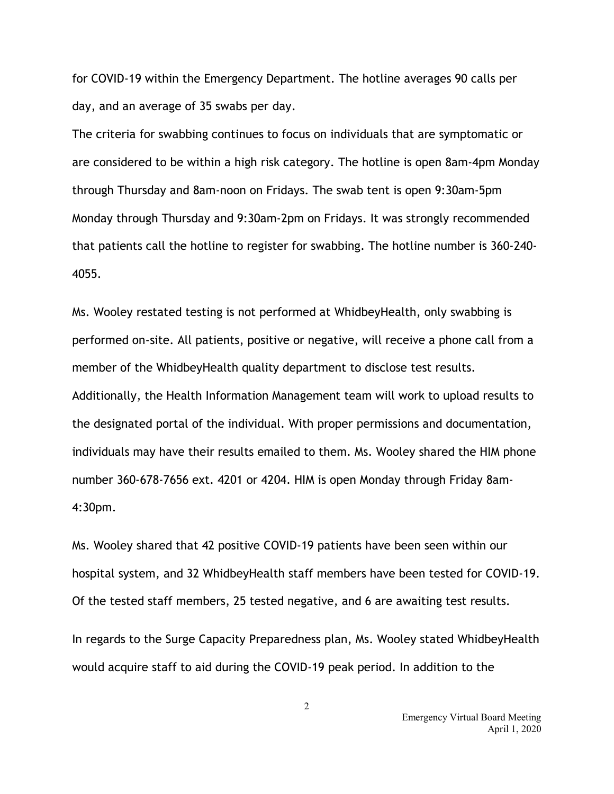for COVID-19 within the Emergency Department. The hotline averages 90 calls per day, and an average of 35 swabs per day.

The criteria for swabbing continues to focus on individuals that are symptomatic or are considered to be within a high risk category. The hotline is open 8am-4pm Monday through Thursday and 8am-noon on Fridays. The swab tent is open 9:30am-5pm Monday through Thursday and 9:30am-2pm on Fridays. It was strongly recommended that patients call the hotline to register for swabbing. The hotline number is 360-240- 4055.

Ms. Wooley restated testing is not performed at WhidbeyHealth, only swabbing is performed on-site. All patients, positive or negative, will receive a phone call from a member of the WhidbeyHealth quality department to disclose test results. Additionally, the Health Information Management team will work to upload results to the designated portal of the individual. With proper permissions and documentation, individuals may have their results emailed to them. Ms. Wooley shared the HIM phone number 360-678-7656 ext. 4201 or 4204. HIM is open Monday through Friday 8am-4:30pm.

Ms. Wooley shared that 42 positive COVID-19 patients have been seen within our hospital system, and 32 WhidbeyHealth staff members have been tested for COVID-19. Of the tested staff members, 25 tested negative, and 6 are awaiting test results.

In regards to the Surge Capacity Preparedness plan, Ms. Wooley stated WhidbeyHealth would acquire staff to aid during the COVID-19 peak period. In addition to the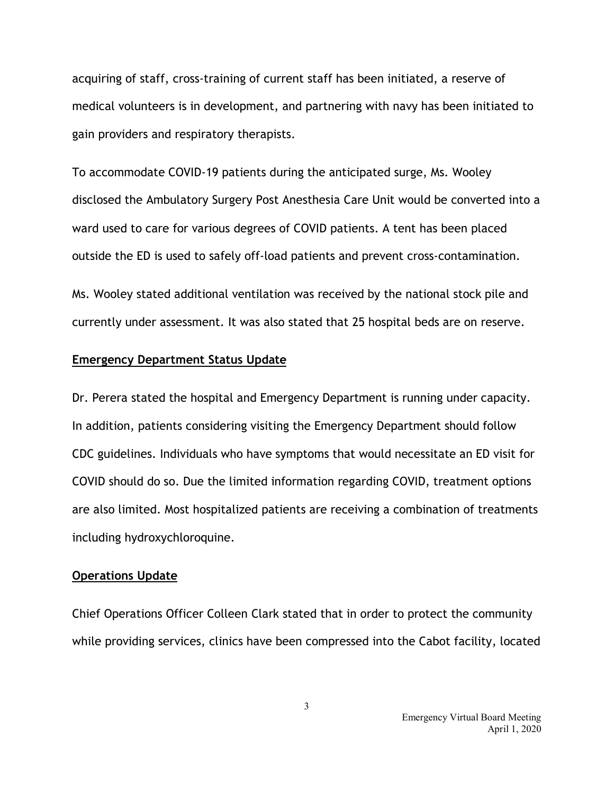acquiring of staff, cross-training of current staff has been initiated, a reserve of medical volunteers is in development, and partnering with navy has been initiated to gain providers and respiratory therapists.

To accommodate COVID-19 patients during the anticipated surge, Ms. Wooley disclosed the Ambulatory Surgery Post Anesthesia Care Unit would be converted into a ward used to care for various degrees of COVID patients. A tent has been placed outside the ED is used to safely off-load patients and prevent cross-contamination.

Ms. Wooley stated additional ventilation was received by the national stock pile and currently under assessment. It was also stated that 25 hospital beds are on reserve.

#### **Emergency Department Status Update**

Dr. Perera stated the hospital and Emergency Department is running under capacity. In addition, patients considering visiting the Emergency Department should follow CDC guidelines. Individuals who have symptoms that would necessitate an ED visit for COVID should do so. Due the limited information regarding COVID, treatment options are also limited. Most hospitalized patients are receiving a combination of treatments including hydroxychloroquine.

### **Operations Update**

Chief Operations Officer Colleen Clark stated that in order to protect the community while providing services, clinics have been compressed into the Cabot facility, located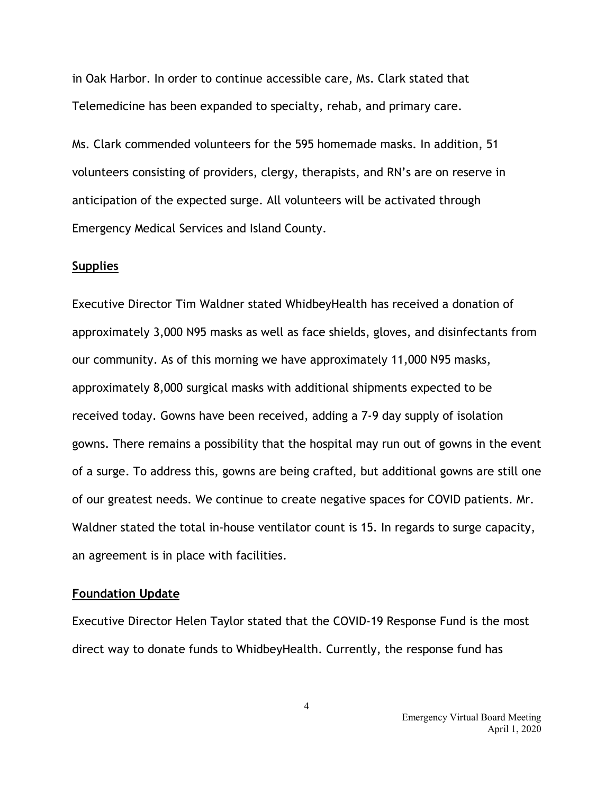in Oak Harbor. In order to continue accessible care, Ms. Clark stated that Telemedicine has been expanded to specialty, rehab, and primary care.

Ms. Clark commended volunteers for the 595 homemade masks. In addition, 51 volunteers consisting of providers, clergy, therapists, and RN's are on reserve in anticipation of the expected surge. All volunteers will be activated through Emergency Medical Services and Island County.

### **Supplies**

Executive Director Tim Waldner stated WhidbeyHealth has received a donation of approximately 3,000 N95 masks as well as face shields, gloves, and disinfectants from our community. As of this morning we have approximately 11,000 N95 masks, approximately 8,000 surgical masks with additional shipments expected to be received today. Gowns have been received, adding a 7-9 day supply of isolation gowns. There remains a possibility that the hospital may run out of gowns in the event of a surge. To address this, gowns are being crafted, but additional gowns are still one of our greatest needs. We continue to create negative spaces for COVID patients. Mr. Waldner stated the total in-house ventilator count is 15. In regards to surge capacity, an agreement is in place with facilities.

### **Foundation Update**

Executive Director Helen Taylor stated that the COVID-19 Response Fund is the most direct way to donate funds to WhidbeyHealth. Currently, the response fund has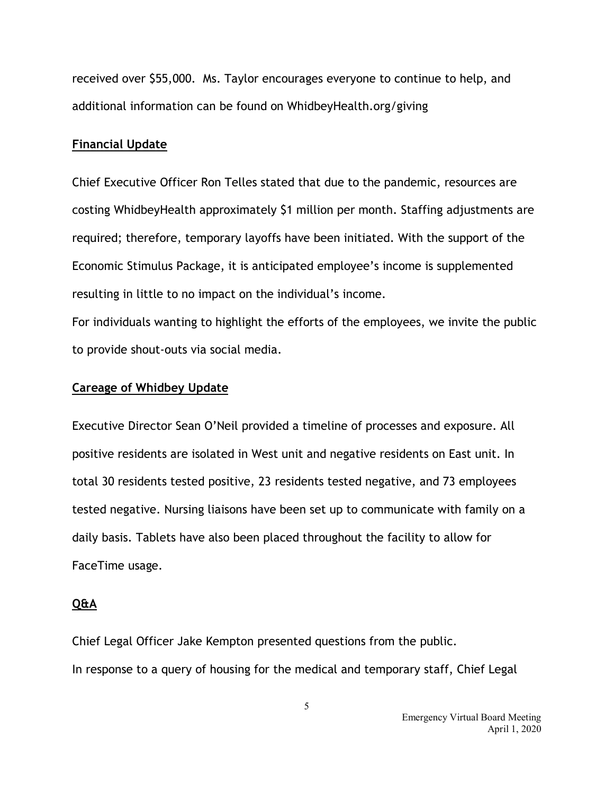received over \$55,000. Ms. Taylor encourages everyone to continue to help, and additional information can be found on WhidbeyHealth.org/giving

## **Financial Update**

Chief Executive Officer Ron Telles stated that due to the pandemic, resources are costing WhidbeyHealth approximately \$1 million per month. Staffing adjustments are required; therefore, temporary layoffs have been initiated. With the support of the Economic Stimulus Package, it is anticipated employee's income is supplemented resulting in little to no impact on the individual's income.

For individuals wanting to highlight the efforts of the employees, we invite the public to provide shout-outs via social media.

## **Careage of Whidbey Update**

Executive Director Sean O'Neil provided a timeline of processes and exposure. All positive residents are isolated in West unit and negative residents on East unit. In total 30 residents tested positive, 23 residents tested negative, and 73 employees tested negative. Nursing liaisons have been set up to communicate with family on a daily basis. Tablets have also been placed throughout the facility to allow for FaceTime usage.

### **Q&A**

Chief Legal Officer Jake Kempton presented questions from the public. In response to a query of housing for the medical and temporary staff, Chief Legal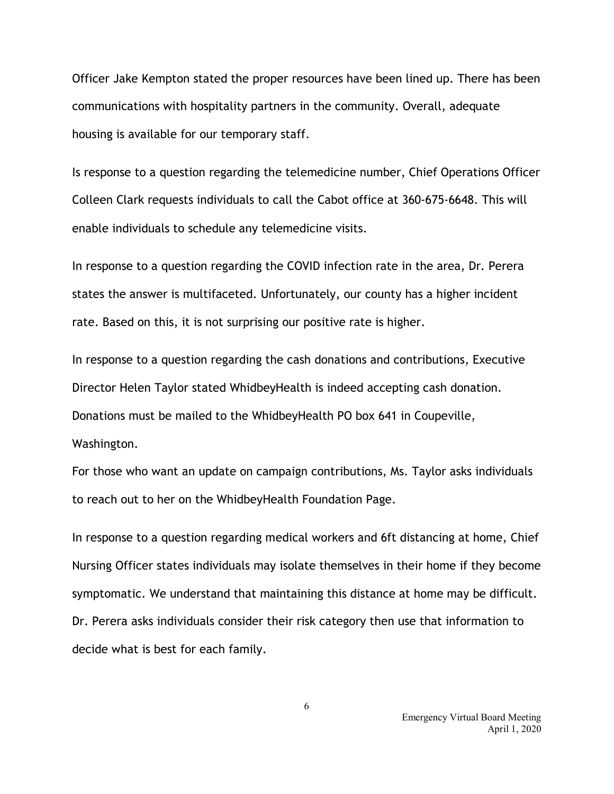Officer Jake Kempton stated the proper resources have been lined up. There has been communications with hospitality partners in the community. Overall, adequate housing is available for our temporary staff.

Is response to a question regarding the telemedicine number, Chief Operations Officer Colleen Clark requests individuals to call the Cabot office at 360-675-6648. This will enable individuals to schedule any telemedicine visits.

In response to a question regarding the COVID infection rate in the area, Dr. Perera states the answer is multifaceted. Unfortunately, our county has a higher incident rate. Based on this, it is not surprising our positive rate is higher.

In response to a question regarding the cash donations and contributions, Executive Director Helen Taylor stated WhidbeyHealth is indeed accepting cash donation. Donations must be mailed to the WhidbeyHealth PO box 641 in Coupeville, Washington.

For those who want an update on campaign contributions, Ms. Taylor asks individuals to reach out to her on the WhidbeyHealth Foundation Page.

In response to a question regarding medical workers and 6ft distancing at home, Chief Nursing Officer states individuals may isolate themselves in their home if they become symptomatic. We understand that maintaining this distance at home may be difficult. Dr. Perera asks individuals consider their risk category then use that information to decide what is best for each family.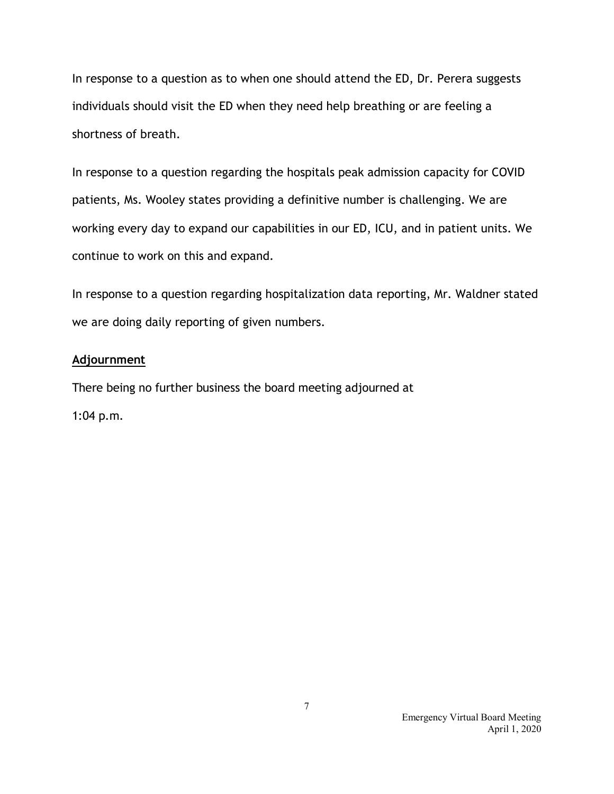In response to a question as to when one should attend the ED, Dr. Perera suggests individuals should visit the ED when they need help breathing or are feeling a shortness of breath.

In response to a question regarding the hospitals peak admission capacity for COVID patients, Ms. Wooley states providing a definitive number is challenging. We are working every day to expand our capabilities in our ED, ICU, and in patient units. We continue to work on this and expand.

In response to a question regarding hospitalization data reporting, Mr. Waldner stated we are doing daily reporting of given numbers.

# **Adjournment**

There being no further business the board meeting adjourned at

1:04 p.m.

 Emergency Virtual Board Meeting April 1, 2020